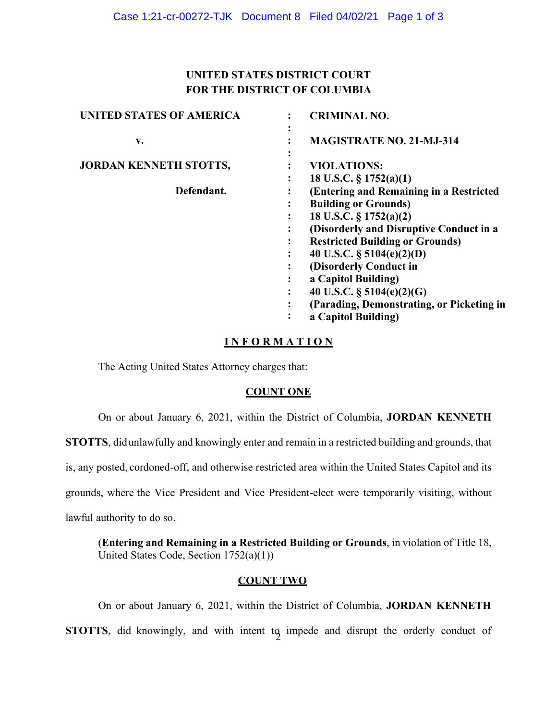# **FOR THE DISTRICT OF COLUMBIA UNITED STATES DISTRICT COURT**

| <b>UNITED STATES OF AMERICA</b> | <b>CRIMINAL NO.</b>                       |
|---------------------------------|-------------------------------------------|
| v.                              | <b>MAGISTRATE NO. 21-MJ-314</b>           |
| <b>JORDAN KENNETH STOTTS,</b>   | <b>VIOLATIONS:</b>                        |
|                                 | 18 U.S.C. $\S 1752(a)(1)$                 |
| Defendant.                      | (Entering and Remaining in a Restricted   |
|                                 | <b>Building or Grounds)</b>               |
|                                 | 18 U.S.C. § 1752(a)(2)                    |
|                                 | (Disorderly and Disruptive Conduct in a   |
|                                 | <b>Restricted Building or Grounds)</b>    |
|                                 | 40 U.S.C. $\S$ 5104(e)(2)(D)              |
|                                 | (Disorderly Conduct in                    |
|                                 | a Capitol Building)<br>٠                  |
|                                 | 40 U.S.C. $\S$ 5104(e)(2)(G)              |
|                                 | (Parading, Demonstrating, or Picketing in |
|                                 | a Capitol Building)                       |

# **I N F O R M A T I O N**

The Acting United States Attorney charges that:

# **COUNT ONE**

On or about January 6, 2021, within the District of Columbia, **JORDAN KENNETH** 

**STOTTS**, didunlawfully and knowingly enter and remain in a restricted building and grounds, that

is, any posted, cordoned-off, and otherwise restricted area within the United States Capitol and its

grounds, where the Vice President and Vice President-elect were temporarily visiting, without

lawful authority to do so.

 (**Entering and Remaining in a Restricted Building or Grounds**, in violation of Title 18, United States Code, Section 1752(a)(1))

### **COUNT TWO**

 On or about January 6, 2021, within the District of Columbia, **JORDAN KENNETH STOTTS**, did knowingly, and with intent to impede and disrupt the orderly conduct of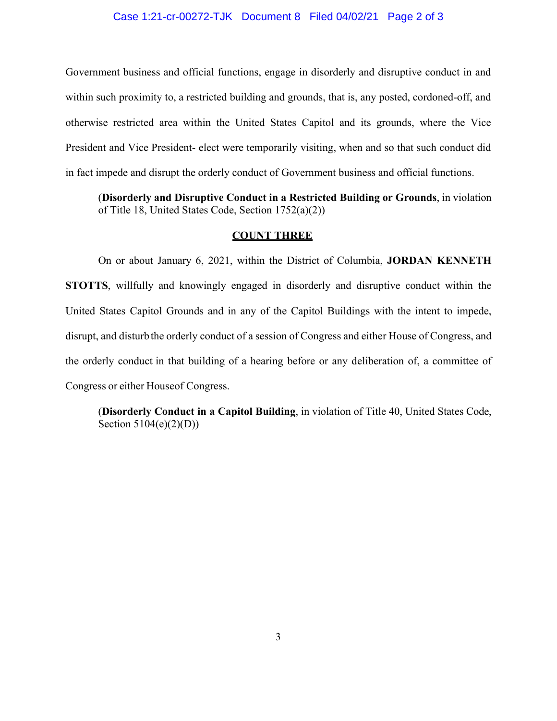### Case 1:21-cr-00272-TJK Document 8 Filed 04/02/21 Page 2 of 3

 Government business and official functions, engage in disorderly and disruptive conduct in and in fact impede and disrupt the orderly conduct of Government business and official functions. within such proximity to, a restricted building and grounds, that is, any posted, cordoned-off, and otherwise restricted area within the United States Capitol and its grounds, where the Vice President and Vice President- elect were temporarily visiting, when and so that such conduct did

 (**Disorderly and Disruptive Conduct in a Restricted Building or Grounds**, in violation of Title 18, United States Code, Section 1752(a)(2))

### **COUNT THREE**

 United States Capitol Grounds and in any of the Capitol Buildings with the intent to impede, disrupt, and disturb the orderly conduct of a session of Congress and either House of Congress, and the orderly conduct in that building of a hearing before or any deliberation of, a committee of Congress or either Houseof Congress. On or about January 6, 2021, within the District of Columbia, **JORDAN KENNETH STOTTS**, willfully and knowingly engaged in disorderly and disruptive conduct within the

 (**Disorderly Conduct in a Capitol Building**, in violation of Title 40, United States Code, Section  $5104(e)(2)(D)$ )